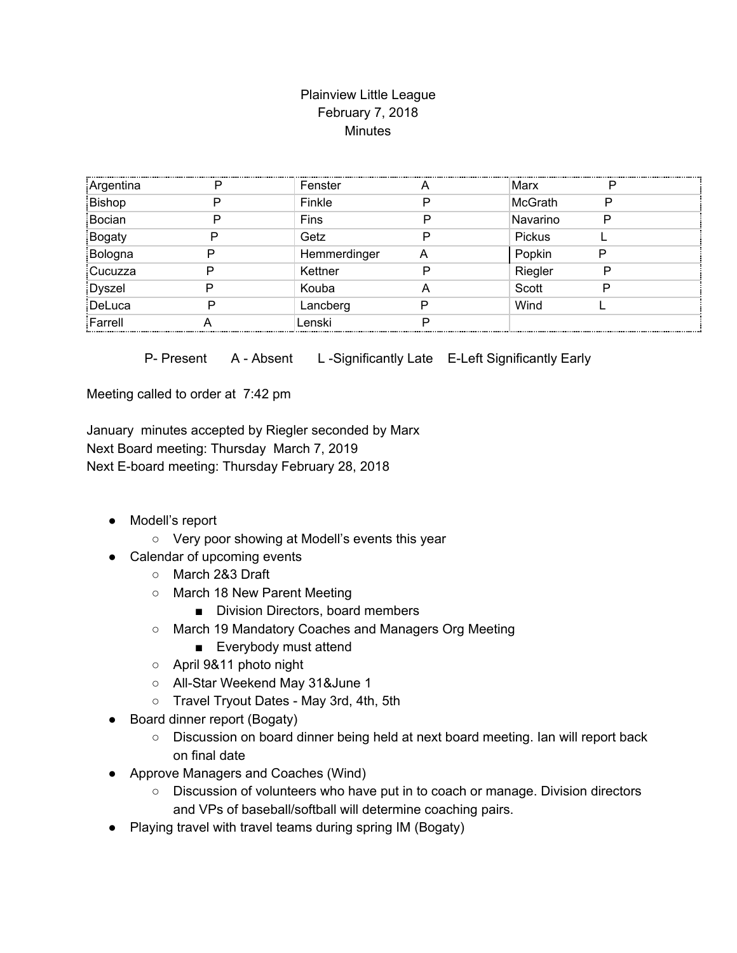## Plainview Little League February 7, 2018 **Minutes**

| Argentina     | D | Fenster      |   | Marx           | D |  |
|---------------|---|--------------|---|----------------|---|--|
| Bishop        |   | Finkle       |   | <b>McGrath</b> | Ρ |  |
| Bocian        |   | Fins         |   | Navarino       | D |  |
| <b>Bogaty</b> |   | Getz         |   | Pickus         |   |  |
| Bologna       |   | Hemmerdinger | Α | Popkin         |   |  |
| Cucuzza       |   | Kettner      |   | Riegler        | P |  |
| <b>Dyszel</b> |   | Kouba        | A | Scott          | D |  |
| DeLuca        |   | Lancberg     |   | Wind           |   |  |
| Farrell       |   | Lenski       |   |                |   |  |

P- Present A - Absent L-Significantly Late E-Left Significantly Early

Meeting called to order at 7:42 pm

January minutes accepted by Riegler seconded by Marx Next Board meeting: Thursday March 7, 2019 Next E-board meeting: Thursday February 28, 2018

- Modell's report
	- Very poor showing at Modell's events this year
- Calendar of upcoming events
	- March 2&3 Draft
	- March 18 New Parent Meeting
		- Division Directors, board members
	- March 19 Mandatory Coaches and Managers Org Meeting
		- Everybody must attend
	- April 9&11 photo night
	- All-Star Weekend May 31&June 1
	- Travel Tryout Dates May 3rd, 4th, 5th
- Board dinner report (Bogaty)
	- Discussion on board dinner being held at next board meeting. Ian will report back on final date
- Approve Managers and Coaches (Wind)
	- Discussion of volunteers who have put in to coach or manage. Division directors and VPs of baseball/softball will determine coaching pairs.
- Playing travel with travel teams during spring IM (Bogaty)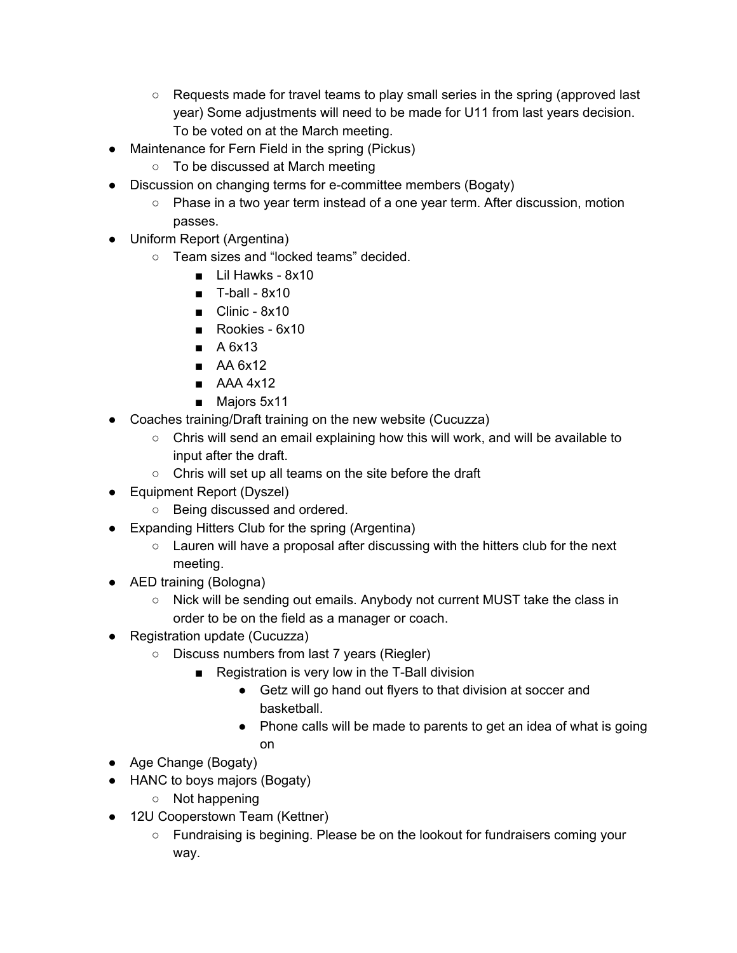- Requests made for travel teams to play small series in the spring (approved last year) Some adjustments will need to be made for U11 from last years decision. To be voted on at the March meeting.
- Maintenance for Fern Field in the spring (Pickus)
	- To be discussed at March meeting
- Discussion on changing terms for e-committee members (Bogaty)
	- Phase in a two year term instead of a one year term. After discussion, motion passes.
- Uniform Report (Argentina)
	- Team sizes and "locked teams" decided.
		- Lil Hawks 8x10
		- $\blacksquare$  T-ball 8x10
		- $\blacksquare$  Clinic 8x10
		- Rookies 6x10
		- A 6x13
		- AA 6x12
		- AAA 4x12
		- Majors 5x11
- Coaches training/Draft training on the new website (Cucuzza)
	- $\circ$  Chris will send an email explaining how this will work, and will be available to input after the draft.
	- Chris will set up all teams on the site before the draft
- Equipment Report (Dyszel)
	- Being discussed and ordered.
- Expanding Hitters Club for the spring (Argentina)
	- Lauren will have a proposal after discussing with the hitters club for the next meeting.
- AED training (Bologna)
	- Nick will be sending out emails. Anybody not current MUST take the class in order to be on the field as a manager or coach.
- Registration update (Cucuzza)
	- Discuss numbers from last 7 years (Riegler)
		- Registration is very low in the T-Ball division
			- Getz will go hand out flyers to that division at soccer and basketball.
			- Phone calls will be made to parents to get an idea of what is going on
- Age Change (Bogaty)
- HANC to boys majors (Bogaty)
	- Not happening
- 12U Cooperstown Team (Kettner)
	- Fundraising is begining. Please be on the lookout for fundraisers coming your way.